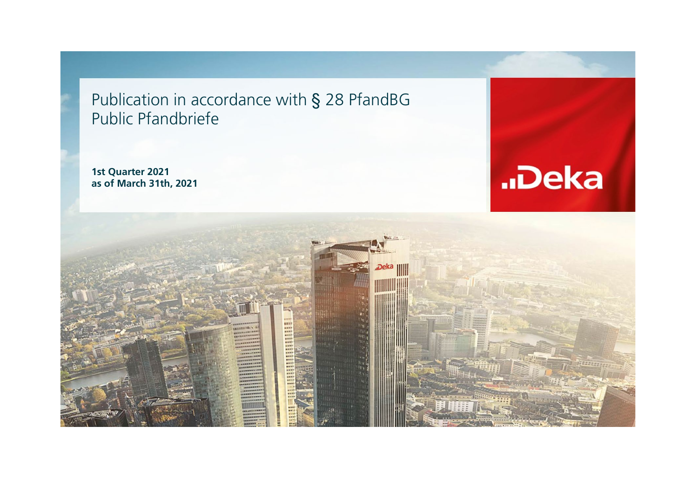Publication in accordance with § 28 PfandBG Public Pfandbriefe

**1st Quarter 2021 as of March 31th, 2021**



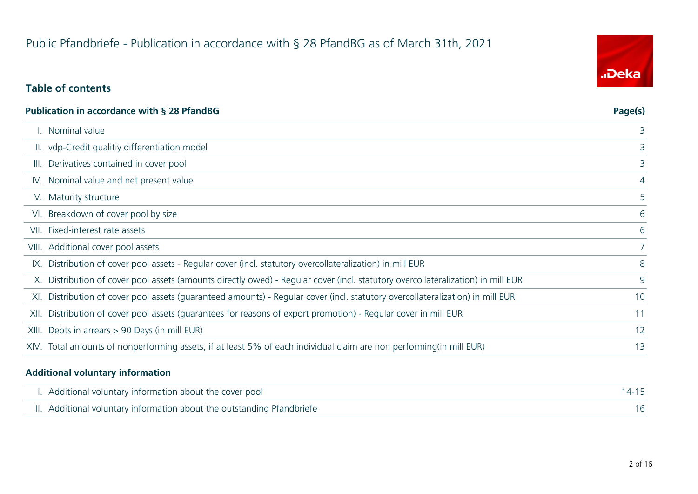# **Table of contents**

| <b>Publication in accordance with § 28 PfandBG</b>                                                                               | Page(s)        |
|----------------------------------------------------------------------------------------------------------------------------------|----------------|
| Nominal value                                                                                                                    | 3              |
| II. vdp-Credit qualitiy differentiation model                                                                                    | 3              |
| III. Derivatives contained in cover pool                                                                                         | 3              |
| IV. Nominal value and net present value                                                                                          | $\overline{4}$ |
| V. Maturity structure                                                                                                            | 5              |
| VI. Breakdown of cover pool by size                                                                                              | 6              |
| VII. Fixed-interest rate assets                                                                                                  | 6              |
| VIII. Additional cover pool assets                                                                                               |                |
| IX. Distribution of cover pool assets - Regular cover (incl. statutory overcollateralization) in mill EUR                        | 8              |
| X. Distribution of cover pool assets (amounts directly owed) - Regular cover (incl. statutory overcollateralization) in mill EUR | 9              |
| XI. Distribution of cover pool assets (quaranteed amounts) - Regular cover (incl. statutory overcollateralization) in mill EUR   | 10             |
| XII. Distribution of cover pool assets (quarantees for reasons of export promotion) - Regular cover in mill EUR                  | 11             |
| XIII. Debts in arrears > 90 Days (in mill EUR)                                                                                   | 12             |
| XIV. Total amounts of nonperforming assets, if at least 5% of each individual claim are non performing(in mill EUR)              | 13             |
|                                                                                                                                  |                |

#### **Additional voluntary information**

| I. Additional voluntary information about the cover pool               | $14 - 15$ |
|------------------------------------------------------------------------|-----------|
| II. Additional voluntary information about the outstanding Pfandbriefe |           |

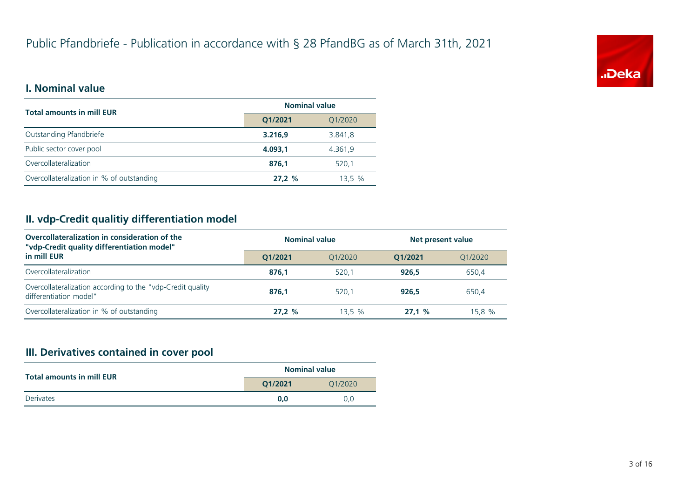

### **I. Nominal value**

| <b>Total amounts in mill EUR</b>          | <b>Nominal value</b> |         |  |
|-------------------------------------------|----------------------|---------|--|
|                                           | Q1/2021              | Q1/2020 |  |
| Outstanding Pfandbriefe                   | 3.216,9              | 3.841,8 |  |
| Public sector cover pool                  | 4.093.1              | 4.361.9 |  |
| Overcollateralization                     | 876.1                | 520.1   |  |
| Overcollateralization in % of outstanding | 27.2%                | 13.5 %  |  |

# **II. vdp-Credit qualitiy differentiation model**

| Overcollateralization in consideration of the<br>"vdp-Credit quality differentiation model" | <b>Nominal value</b><br>Net present value |                                                          |       |        |
|---------------------------------------------------------------------------------------------|-------------------------------------------|----------------------------------------------------------|-------|--------|
| in mill EUR                                                                                 | O1/2021                                   | 01/2020<br>01/2020<br>01/2021<br>650,4<br>520.1<br>926.5 |       |        |
| Overcollateralization                                                                       | 876.1                                     |                                                          |       |        |
| Overcollateralization according to the "vdp-Credit quality<br>differentiation model"        | 876.1                                     | 520.1                                                    | 926.5 | 650.4  |
| Overcollateralization in % of outstanding                                                   | 27.2%                                     | $13.5\%$                                                 | 27.1% | 15.8 % |

# **III. Derivatives contained in cover pool**

| <b>Total amounts in mill EUR</b> |         | <b>Nominal value</b><br>01/2020<br>0.0 |
|----------------------------------|---------|----------------------------------------|
|                                  | O1/2021 |                                        |
| Derivates                        | 0.0     |                                        |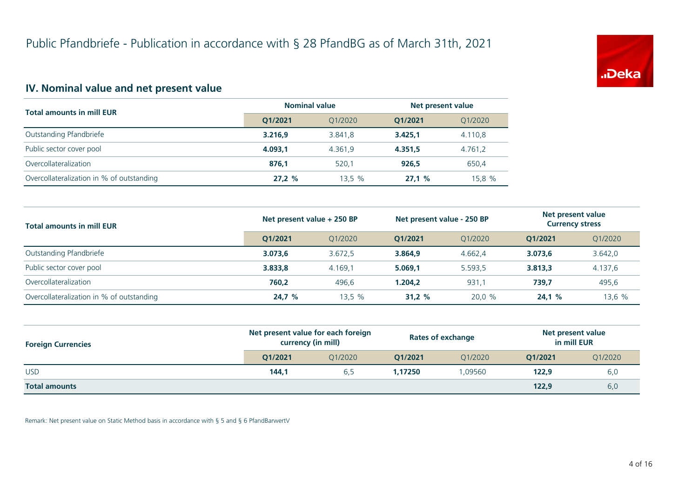

# **IV. Nominal value and net present value**

| <b>Total amounts in mill EUR</b>          | <b>Nominal value</b> |         | Net present value |         |
|-------------------------------------------|----------------------|---------|-------------------|---------|
|                                           | 01/2021              | Q1/2020 | 01/2021           | Q1/2020 |
| Outstanding Pfandbriefe                   | 3.216.9              | 3.841.8 | 3.425.1           | 4.110,8 |
| Public sector cover pool                  | 4.093.1              | 4.361.9 | 4.351.5           | 4.761,2 |
| Overcollateralization                     | 876.1                | 520.1   | 926.5             | 650,4   |
| Overcollateralization in % of outstanding | 27.2%                | 13,5 %  | 27.1%             | 15,8 %  |

| <b>Total amounts in mill EUR</b>          | Net present value + 250 BP |         | Net present value - 250 BP |                      | Net present value<br><b>Currency stress</b> |         |
|-------------------------------------------|----------------------------|---------|----------------------------|----------------------|---------------------------------------------|---------|
|                                           | O1/2021                    | 01/2020 | O1/2021                    | O <sub>1</sub> /2020 | 01/2021                                     | Q1/2020 |
| Outstanding Pfandbriefe                   | 3.073.6                    | 3.672.5 | 3.864,9                    | 4.662,4              | 3.073.6                                     | 3.642,0 |
| Public sector cover pool                  | 3.833,8                    | 4.169.1 | 5.069,1                    | 5.593.5              | 3.813.3                                     | 4.137,6 |
| Overcollateralization                     | 760,2                      | 496.6   | 1.204.2                    | 931.1                | 739,7                                       | 495,6   |
| Overcollateralization in % of outstanding | 24,7 %                     | 13.5%   | 31,2%                      | 20,0 %               | 24,1%                                       | 13,6 %  |

| <b>Foreign Currencies</b> | Net present value for each foreign<br>currency (in mill) |         | <b>Rates of exchange</b> |         | Net present value<br>in mill EUR |         |
|---------------------------|----------------------------------------------------------|---------|--------------------------|---------|----------------------------------|---------|
|                           | O1/2021                                                  | 01/2020 | O1/2021                  | O1/2020 | 01/2021                          | Q1/2020 |
| <b>USD</b>                | 144,1                                                    | 6.5     | 1.17250                  | 1.09560 | 122.9                            | 6,0     |
| <b>Total amounts</b>      |                                                          |         |                          |         | 122.9                            | 6,0     |

Remark: Net present value on Static Method basis in accordance with § 5 and § 6 PfandBarwertV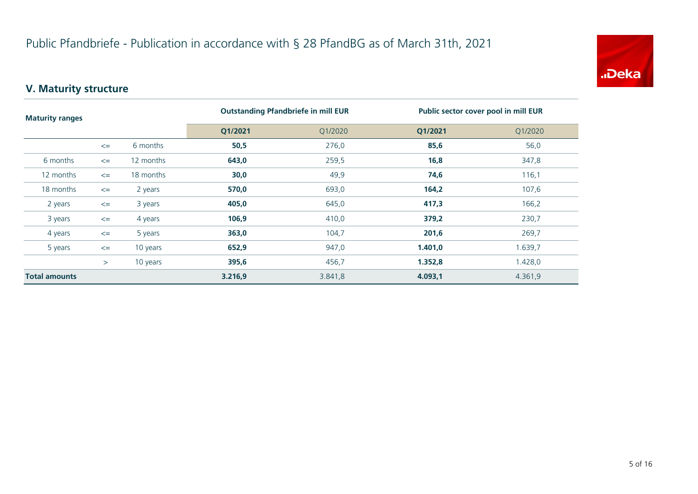

# **V. Maturity structure**

| <b>Maturity ranges</b> |        | <b>Outstanding Pfandbriefe in mill EUR</b> |         | Public sector cover pool in mill EUR |         |         |
|------------------------|--------|--------------------------------------------|---------|--------------------------------------|---------|---------|
|                        |        |                                            | Q1/2021 | Q1/2020                              | Q1/2021 | Q1/2020 |
|                        | $\leq$ | 6 months                                   | 50,5    | 276,0                                | 85,6    | 56,0    |
| 6 months               | $\leq$ | 12 months                                  | 643,0   | 259,5                                | 16,8    | 347,8   |
| 12 months              | $\leq$ | 18 months                                  | 30,0    | 49,9                                 | 74,6    | 116,1   |
| 18 months              | $\leq$ | 2 years                                    | 570,0   | 693,0                                | 164,2   | 107,6   |
| 2 years                | $\leq$ | 3 years                                    | 405,0   | 645,0                                | 417,3   | 166,2   |
| 3 years                | $\leq$ | 4 years                                    | 106,9   | 410,0                                | 379,2   | 230,7   |
| 4 years                | $\leq$ | 5 years                                    | 363,0   | 104,7                                | 201,6   | 269,7   |
| 5 years                | $\leq$ | 10 years                                   | 652,9   | 947,0                                | 1.401,0 | 1.639,7 |
|                        | $\geq$ | 10 years                                   | 395,6   | 456,7                                | 1.352,8 | 1.428,0 |
| <b>Total amounts</b>   |        |                                            | 3.216,9 | 3.841,8                              | 4.093,1 | 4.361,9 |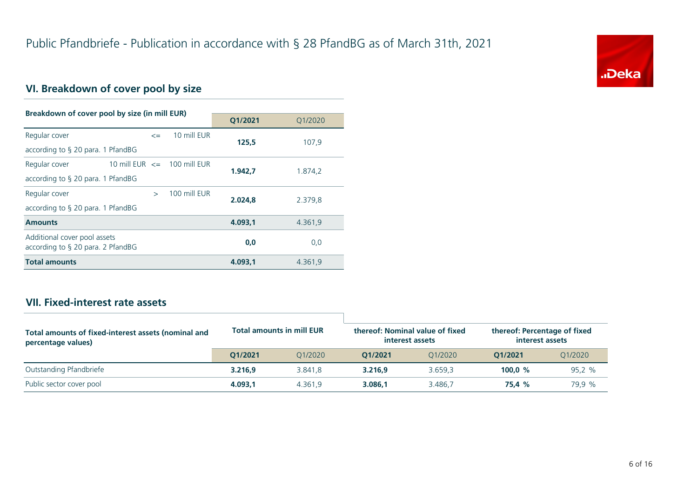

# **VI. Breakdown of cover pool by size**

| Breakdown of cover pool by size (in mill EUR)                        |                                 |               |              |         |         |
|----------------------------------------------------------------------|---------------------------------|---------------|--------------|---------|---------|
|                                                                      |                                 |               |              | Q1/2021 | 01/2020 |
| Regular cover                                                        |                                 | $\leq$        | 10 mill EUR  | 125.5   | 107,9   |
| according to $\S$ 20 para. 1 PfandBG                                 |                                 |               |              |         |         |
| Regular cover                                                        | 10 mill EUR $\leq$ 100 mill EUR |               |              | 1.942.7 | 1.874,2 |
| according to § 20 para. 1 PfandBG                                    |                                 |               |              |         |         |
| Regular cover                                                        |                                 | $\rightarrow$ | 100 mill FUR | 2.024.8 | 2.379,8 |
| according to $\S$ 20 para. 1 PfandBG                                 |                                 |               |              |         |         |
| <b>Amounts</b>                                                       |                                 |               |              | 4.093.1 | 4.361,9 |
| Additional cover pool assets<br>according to $\S$ 20 para. 2 PfandBG |                                 |               |              | 0.0     | 0,0     |
| <b>Total amounts</b>                                                 |                                 |               |              | 4.093.1 | 4.361,9 |

### **VII. Fixed-interest rate assets**

| Total amounts of fixed-interest assets (nominal and<br>percentage values) | <b>Total amounts in mill EUR</b> |         | thereof: Nominal value of fixed<br>interest assets |         | thereof: Percentage of fixed<br>interest assets |         |
|---------------------------------------------------------------------------|----------------------------------|---------|----------------------------------------------------|---------|-------------------------------------------------|---------|
|                                                                           | O1/2021                          | 01/2020 | 01/2021                                            | 01/2020 | 01/2021                                         | Q1/2020 |
| Outstanding Pfandbriefe                                                   | 3.216.9                          | 3.841.8 | 3.216.9                                            | 3.659.3 | 100.0 $%$                                       | 95.2%   |
| Public sector cover pool                                                  | 4.093.1                          | 4.361.9 | 3.086.1                                            | 3.486.7 | 75.4 %                                          | 79,9 %  |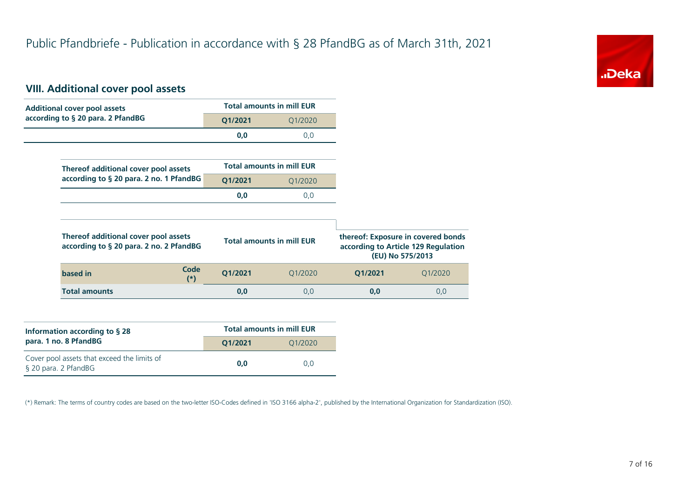

# **VIII. Additional cover pool assets**

| <b>Additional cover pool assets</b>                                             |         | <b>Total amounts in mill EUR</b> |                                                                           |                  |
|---------------------------------------------------------------------------------|---------|----------------------------------|---------------------------------------------------------------------------|------------------|
| according to § 20 para. 2 PfandBG                                               | Q1/2021 | Q1/2020                          |                                                                           |                  |
|                                                                                 | 0,0     | 0,0                              |                                                                           |                  |
|                                                                                 |         |                                  |                                                                           |                  |
| Thereof additional cover pool assets                                            |         | <b>Total amounts in mill EUR</b> |                                                                           |                  |
| according to § 20 para. 2 no. 1 PfandBG                                         | Q1/2021 | Q1/2020                          |                                                                           |                  |
|                                                                                 | 0,0     | 0,0                              |                                                                           |                  |
|                                                                                 |         |                                  |                                                                           |                  |
| Thereof additional cover pool assets<br>according to § 20 para. 2 no. 2 PfandBG |         | <b>Total amounts in mill EUR</b> | thereof: Exposure in covered bonds<br>according to Article 129 Regulation | (EU) No 575/2013 |
| Code<br>based in<br>$(*)$                                                       | Q1/2021 | Q1/2020                          | Q1/2021                                                                   | Q1/2020          |
| <b>Total amounts</b>                                                            | 0,0     | 0,0                              | 0,0                                                                       | 0,0              |

| Information according to $\S$ 28                                    | <b>Total amounts in mill EUR</b> |         |  |  |
|---------------------------------------------------------------------|----------------------------------|---------|--|--|
| para. 1 no. 8 PfandBG                                               | 01/2021                          | 01/2020 |  |  |
| Cover pool assets that exceed the limits of<br>§ 20 para. 2 PfandBG | 0.0                              | 0.0     |  |  |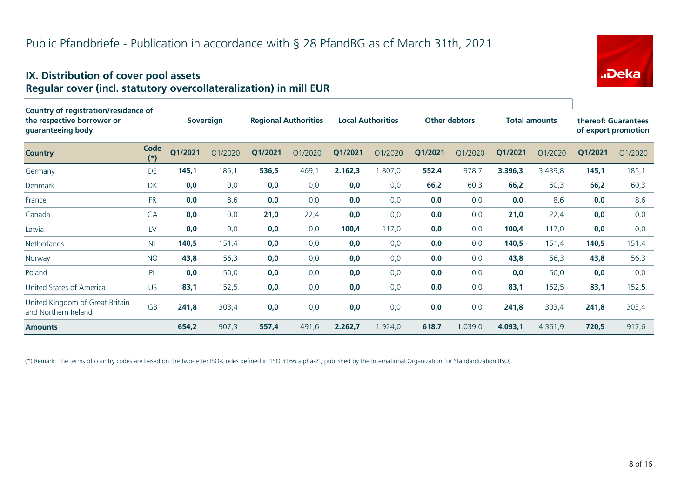#### **IX. Distribution of cover pool assets Regular cover (incl. statutory overcollateralization) in mill EUR**

| Country of registration/residence of<br>the respective borrower or<br>guaranteeing body |               |         | Sovereign |         | <b>Regional Authorities</b> |         | <b>Local Authorities</b> |         | <b>Other debtors</b> |         | <b>Total amounts</b> |         | thereof: Guarantees<br>of export promotion |
|-----------------------------------------------------------------------------------------|---------------|---------|-----------|---------|-----------------------------|---------|--------------------------|---------|----------------------|---------|----------------------|---------|--------------------------------------------|
| <b>Country</b>                                                                          | Code<br>$(*)$ | Q1/2021 | Q1/2020   | Q1/2021 | Q1/2020                     | Q1/2021 | Q1/2020                  | Q1/2021 | Q1/2020              | Q1/2021 | Q1/2020              | Q1/2021 | Q1/2020                                    |
| Germany                                                                                 | DE            | 145,1   | 185,1     | 536,5   | 469,1                       | 2.162,3 | 1.807,0                  | 552,4   | 978,7                | 3.396,3 | 3.439,8              | 145,1   | 185,1                                      |
| Denmark                                                                                 | <b>DK</b>     | 0,0     | 0,0       | 0,0     | 0,0                         | 0,0     | 0,0                      | 66,2    | 60,3                 | 66,2    | 60,3                 | 66,2    | 60,3                                       |
| France                                                                                  | <b>FR</b>     | 0,0     | 8,6       | 0,0     | 0,0                         | 0,0     | 0,0                      | 0,0     | 0,0                  | 0,0     | 8,6                  | 0,0     | 8,6                                        |
| Canada                                                                                  | CA            | 0,0     | 0,0       | 21,0    | 22,4                        | 0,0     | 0,0                      | 0,0     | 0,0                  | 21,0    | 22,4                 | 0,0     | 0,0                                        |
| Latvia                                                                                  | LV            | 0,0     | 0,0       | 0,0     | 0,0                         | 100,4   | 117,0                    | 0,0     | 0,0                  | 100,4   | 117,0                | 0,0     | 0,0                                        |
| <b>Netherlands</b>                                                                      | <b>NL</b>     | 140,5   | 151,4     | 0,0     | 0,0                         | 0,0     | 0,0                      | 0,0     | 0,0                  | 140,5   | 151,4                | 140,5   | 151,4                                      |
| Norway                                                                                  | <b>NO</b>     | 43,8    | 56,3      | 0,0     | 0,0                         | 0,0     | 0,0                      | 0,0     | 0,0                  | 43,8    | 56,3                 | 43,8    | 56,3                                       |
| Poland                                                                                  | PL            | 0,0     | 50,0      | 0,0     | 0,0                         | 0,0     | 0,0                      | 0,0     | 0,0                  | 0,0     | 50,0                 | 0,0     | 0,0                                        |
| United States of America                                                                | <b>US</b>     | 83,1    | 152,5     | 0,0     | 0,0                         | 0,0     | 0,0                      | 0,0     | 0,0                  | 83,1    | 152,5                | 83,1    | 152,5                                      |
| United Kingdom of Great Britain<br>and Northern Ireland                                 | GB            | 241,8   | 303,4     | 0,0     | 0,0                         | 0,0     | 0,0                      | 0,0     | 0,0                  | 241,8   | 303,4                | 241,8   | 303,4                                      |
| <b>Amounts</b>                                                                          |               | 654,2   | 907,3     | 557,4   | 491,6                       | 2.262,7 | 1.924,0                  | 618,7   | 1.039,0              | 4.093,1 | 4.361,9              | 720,5   | 917,6                                      |

(\*) Remark: The terms of country codes are based on the two-letter ISO-Codes defined in 'ISO 3166 alpha-2', published by the International Organization for Standardization (ISO).



"Deka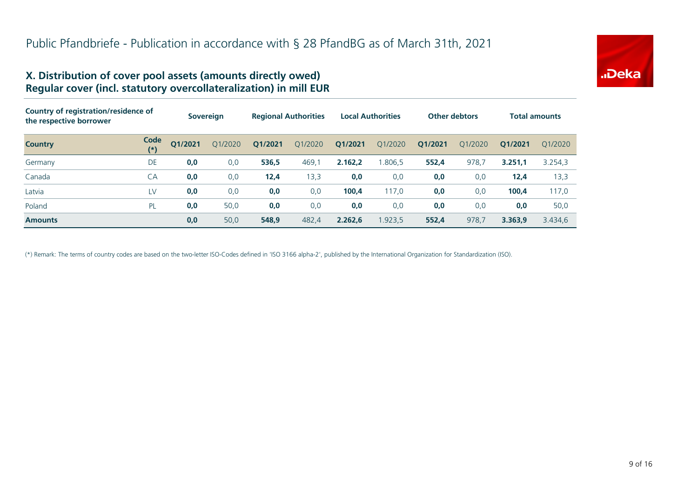

#### **X. Distribution of cover pool assets (amounts directly owed) Regular cover (incl. statutory overcollateralization) in mill EUR**

| Country of registration/residence of<br>the respective borrower |               | <b>Sovereign</b> |         | <b>Regional Authorities</b> |         | <b>Local Authorities</b> |         | <b>Other debtors</b> |         | Total amounts |         |
|-----------------------------------------------------------------|---------------|------------------|---------|-----------------------------|---------|--------------------------|---------|----------------------|---------|---------------|---------|
| <b>Country</b>                                                  | Code<br>$(*)$ | Q1/2021          | Q1/2020 | Q1/2021                     | Q1/2020 | Q1/2021                  | Q1/2020 | Q1/2021              | 01/2020 | O1/2021       | 01/2020 |
| Germany                                                         | DE            | 0,0              | 0,0     | 536,5                       | 469,1   | 2.162.2                  | 1.806,5 | 552,4                | 978,7   | 3.251,1       | 3.254,3 |
| Canada                                                          | CA            | 0,0              | 0,0     | 12,4                        | 13,3    | 0,0                      | 0,0     | 0,0                  | 0,0     | 12,4          | 13,3    |
| Latvia                                                          | LV            | 0,0              | 0,0     | 0,0                         | 0,0     | 100,4                    | 117,0   | 0,0                  | 0,0     | 100,4         | 117,0   |
| Poland                                                          | PL            | 0,0              | 50,0    | 0,0                         | 0,0     | 0,0                      | 0,0     | 0,0                  | 0,0     | 0,0           | 50,0    |
| <b>Amounts</b>                                                  |               | 0,0              | 50,0    | 548,9                       | 482,4   | 2.262.6                  | 1.923,5 | 552,4                | 978,7   | 3.363,9       | 3.434,6 |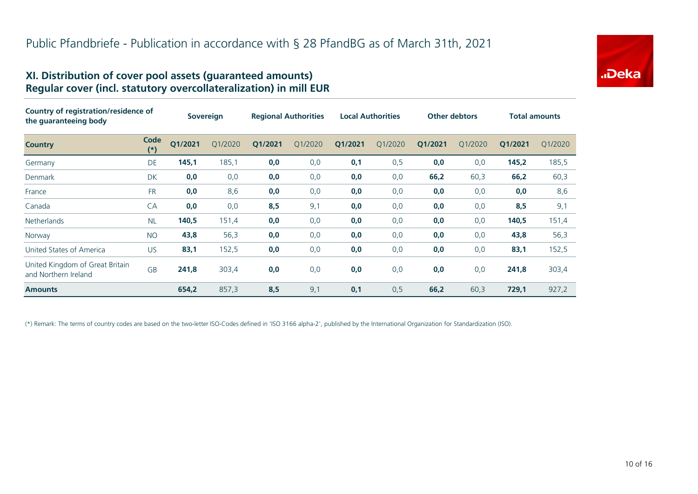

#### **XI. Distribution of cover pool assets (guaranteed amounts) Regular cover (incl. statutory overcollateralization) in mill EUR**

| <b>Country of registration/residence of</b><br>the guaranteeing body |               | <b>Sovereign</b> |         | <b>Regional Authorities</b> |         | <b>Local Authorities</b> |         | <b>Other debtors</b> |         | <b>Total amounts</b> |         |
|----------------------------------------------------------------------|---------------|------------------|---------|-----------------------------|---------|--------------------------|---------|----------------------|---------|----------------------|---------|
| <b>Country</b>                                                       | Code<br>$(*)$ | Q1/2021          | O1/2020 | Q1/2021                     | Q1/2020 | Q1/2021                  | Q1/2020 | Q1/2021              | Q1/2020 | Q1/2021              | Q1/2020 |
| Germany                                                              | DE            | 145,1            | 185,1   | 0,0                         | 0,0     | 0,1                      | 0,5     | 0,0                  | 0,0     | 145,2                | 185,5   |
| Denmark                                                              | <b>DK</b>     | 0,0              | 0,0     | 0,0                         | 0,0     | 0,0                      | 0,0     | 66,2                 | 60,3    | 66,2                 | 60,3    |
| France                                                               | <b>FR</b>     | 0,0              | 8,6     | 0,0                         | 0,0     | 0,0                      | 0,0     | 0,0                  | 0,0     | 0,0                  | 8,6     |
| Canada                                                               | CA            | 0,0              | 0,0     | 8,5                         | 9,1     | 0,0                      | 0,0     | 0,0                  | 0,0     | 8,5                  | 9,1     |
| <b>Netherlands</b>                                                   | <b>NL</b>     | 140,5            | 151,4   | 0,0                         | 0,0     | 0,0                      | 0,0     | 0,0                  | 0,0     | 140,5                | 151,4   |
| Norway                                                               | <b>NO</b>     | 43,8             | 56,3    | 0,0                         | 0,0     | 0,0                      | 0,0     | 0,0                  | 0,0     | 43,8                 | 56,3    |
| United States of America                                             | US            | 83,1             | 152,5   | 0,0                         | 0,0     | 0,0                      | 0,0     | 0,0                  | 0,0     | 83,1                 | 152,5   |
| United Kingdom of Great Britain<br>and Northern Ireland              | <b>GB</b>     | 241,8            | 303,4   | 0,0                         | 0,0     | 0,0                      | 0,0     | 0,0                  | 0,0     | 241,8                | 303,4   |
| <b>Amounts</b>                                                       |               | 654,2            | 857,3   | 8,5                         | 9,1     | 0,1                      | 0,5     | 66,2                 | 60,3    | 729,1                | 927,2   |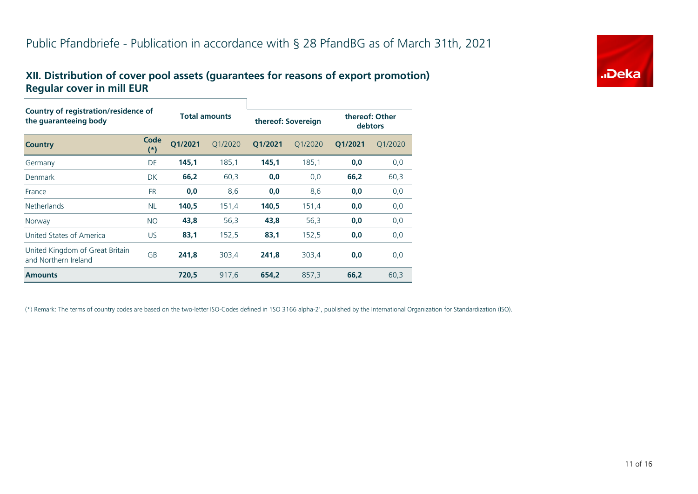### **XII. Distribution of cover pool assets (guarantees for reasons of export promotion) Regular cover in mill EUR**

| <b>Country of registration/residence of</b><br>the guaranteeing body |               |         |                      |                    |         |                           |         |  |  |  |
|----------------------------------------------------------------------|---------------|---------|----------------------|--------------------|---------|---------------------------|---------|--|--|--|
|                                                                      |               |         | <b>Total amounts</b> | thereof: Sovereign |         | thereof: Other<br>debtors |         |  |  |  |
| <b>Country</b>                                                       | Code<br>$(*)$ | Q1/2021 | O1/2020              | 01/2021            | Q1/2020 | Q1/2021                   | Q1/2020 |  |  |  |
| Germany                                                              | DE            | 145,1   | 185,1                | 145,1              | 185,1   | 0,0                       | 0,0     |  |  |  |
| Denmark                                                              | <b>DK</b>     | 66,2    | 60,3                 | 0,0                | 0,0     | 66,2                      | 60,3    |  |  |  |
| France                                                               | <b>FR</b>     | 0,0     | 8,6                  | 0,0                | 8,6     | 0,0                       | 0,0     |  |  |  |
| <b>Netherlands</b>                                                   | <b>NL</b>     | 140,5   | 151,4                | 140,5              | 151,4   | 0,0                       | 0,0     |  |  |  |
| Norway                                                               | <b>NO</b>     | 43,8    | 56,3                 | 43,8               | 56,3    | 0,0                       | 0,0     |  |  |  |
| United States of America                                             | <b>US</b>     | 83,1    | 152,5                | 83,1               | 152,5   | 0,0                       | 0,0     |  |  |  |
| United Kingdom of Great Britain<br>and Northern Ireland              | <b>GB</b>     | 241,8   | 303,4                | 241,8              | 303,4   | 0,0                       | 0,0     |  |  |  |
| <b>Amounts</b>                                                       |               | 720,5   | 917,6                | 654,2              | 857,3   | 66,2                      | 60,3    |  |  |  |

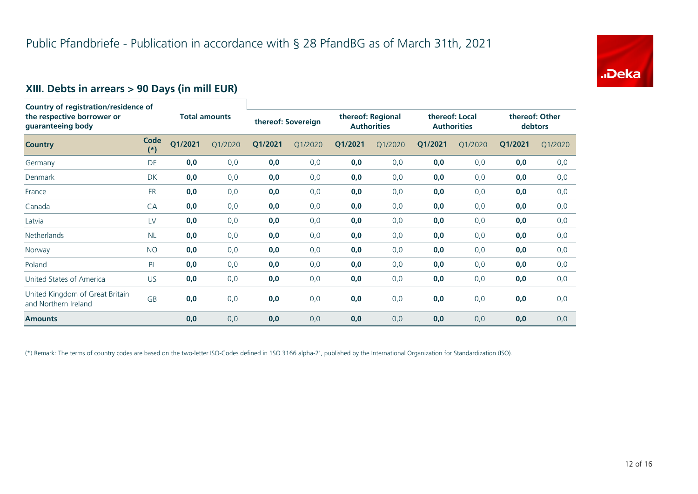

# **XIII. Debts in arrears > 90 Days (in mill EUR)**

| <b>Country of registration/residence of</b><br>the respective borrower or<br>guaranteeing body |               | <b>Total amounts</b> |         | thereof: Sovereign |         | thereof: Regional<br><b>Authorities</b> |         | thereof: Local<br><b>Authorities</b> |         | thereof: Other<br>debtors |         |
|------------------------------------------------------------------------------------------------|---------------|----------------------|---------|--------------------|---------|-----------------------------------------|---------|--------------------------------------|---------|---------------------------|---------|
| <b>Country</b>                                                                                 | Code<br>$(*)$ | Q1/2021              | Q1/2020 | Q1/2021            | Q1/2020 | Q1/2021                                 | Q1/2020 | Q1/2021                              | Q1/2020 | Q1/2021                   | Q1/2020 |
| Germany                                                                                        | DE            | 0,0                  | 0,0     | 0,0                | 0,0     | 0,0                                     | 0,0     | 0,0                                  | 0,0     | 0,0                       | 0,0     |
| Denmark                                                                                        | <b>DK</b>     | 0,0                  | 0,0     | 0,0                | 0,0     | 0,0                                     | 0,0     | 0,0                                  | 0,0     | 0,0                       | 0,0     |
| France                                                                                         | <b>FR</b>     | 0,0                  | 0,0     | 0,0                | 0,0     | 0,0                                     | 0,0     | 0,0                                  | 0,0     | 0,0                       | 0,0     |
| Canada                                                                                         | CA            | 0,0                  | 0,0     | 0,0                | 0,0     | 0,0                                     | 0,0     | 0,0                                  | 0,0     | 0,0                       | 0,0     |
| Latvia                                                                                         | LV            | 0,0                  | 0,0     | 0,0                | 0,0     | 0,0                                     | 0,0     | 0,0                                  | 0,0     | 0,0                       | 0,0     |
| <b>Netherlands</b>                                                                             | <b>NL</b>     | 0,0                  | 0,0     | 0,0                | 0,0     | 0,0                                     | 0,0     | 0,0                                  | 0,0     | 0,0                       | 0,0     |
| Norway                                                                                         | <b>NO</b>     | 0,0                  | 0,0     | 0,0                | 0,0     | 0,0                                     | 0,0     | 0,0                                  | 0,0     | 0,0                       | 0,0     |
| Poland                                                                                         | PL            | 0,0                  | 0,0     | 0,0                | 0,0     | 0,0                                     | 0,0     | 0,0                                  | 0,0     | 0,0                       | 0,0     |
| United States of America                                                                       | <b>US</b>     | 0,0                  | 0,0     | 0,0                | 0,0     | 0,0                                     | 0,0     | 0,0                                  | 0,0     | 0,0                       | 0,0     |
| United Kingdom of Great Britain<br>and Northern Ireland                                        | GB            | 0,0                  | 0,0     | 0,0                | 0,0     | 0,0                                     | 0,0     | 0,0                                  | 0,0     | 0,0                       | 0,0     |
| <b>Amounts</b>                                                                                 |               | 0,0                  | 0,0     | 0,0                | 0,0     | 0,0                                     | 0,0     | 0,0                                  | 0,0     | 0,0                       | 0,0     |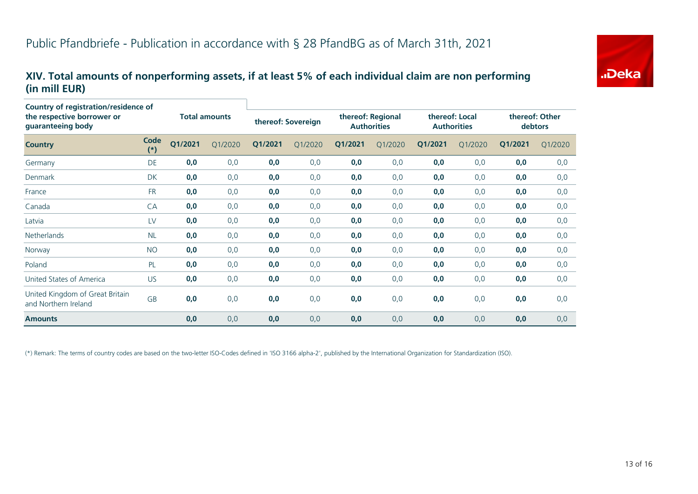#### **XIV. Total amounts of nonperforming assets, if at least 5% of each individual claim are non performing (in mill EUR)**

| Country of registration/residence of                    |               |                      |         |                    |         |                                         |         |                                      |         |                           |         |
|---------------------------------------------------------|---------------|----------------------|---------|--------------------|---------|-----------------------------------------|---------|--------------------------------------|---------|---------------------------|---------|
| the respective borrower or<br>guaranteeing body         |               | <b>Total amounts</b> |         | thereof: Sovereign |         | thereof: Regional<br><b>Authorities</b> |         | thereof: Local<br><b>Authorities</b> |         | thereof: Other<br>debtors |         |
| <b>Country</b>                                          | Code<br>$(*)$ | Q1/2021              | Q1/2020 | Q1/2021            | Q1/2020 | Q1/2021                                 | Q1/2020 | Q1/2021                              | Q1/2020 | Q1/2021                   | Q1/2020 |
| Germany                                                 | DE            | 0,0                  | 0,0     | 0,0                | 0,0     | 0,0                                     | 0,0     | 0,0                                  | 0,0     | 0,0                       | 0,0     |
| Denmark                                                 | <b>DK</b>     | 0,0                  | 0,0     | 0,0                | 0,0     | 0,0                                     | 0,0     | 0,0                                  | 0,0     | 0,0                       | 0,0     |
| France                                                  | <b>FR</b>     | 0,0                  | 0,0     | 0,0                | 0,0     | 0,0                                     | 0,0     | 0,0                                  | 0,0     | 0,0                       | 0,0     |
| Canada                                                  | CA            | 0,0                  | 0,0     | 0,0                | 0,0     | 0,0                                     | 0,0     | 0,0                                  | 0,0     | 0,0                       | 0,0     |
| Latvia                                                  | LV            | 0,0                  | 0,0     | 0,0                | 0,0     | 0,0                                     | 0,0     | 0,0                                  | 0,0     | 0,0                       | 0,0     |
| Netherlands                                             | <b>NL</b>     | 0,0                  | 0,0     | 0,0                | 0,0     | 0,0                                     | 0,0     | 0,0                                  | 0,0     | 0,0                       | 0,0     |
| Norway                                                  | <b>NO</b>     | 0,0                  | 0,0     | 0,0                | 0,0     | 0,0                                     | 0,0     | 0,0                                  | 0,0     | 0,0                       | 0,0     |
| Poland                                                  | PL            | 0,0                  | 0,0     | 0,0                | 0,0     | 0,0                                     | 0,0     | 0,0                                  | 0,0     | 0,0                       | 0,0     |
| United States of America                                | US.           | 0,0                  | 0,0     | 0,0                | 0,0     | 0,0                                     | 0,0     | 0,0                                  | 0,0     | 0,0                       | 0,0     |
| United Kingdom of Great Britain<br>and Northern Ireland | GB            | 0,0                  | 0,0     | 0,0                | 0,0     | 0,0                                     | 0,0     | 0,0                                  | 0,0     | 0,0                       | 0,0     |
| <b>Amounts</b>                                          |               | 0,0                  | 0,0     | 0,0                | 0,0     | 0,0                                     | 0,0     | 0,0                                  | 0,0     | 0,0                       | 0,0     |

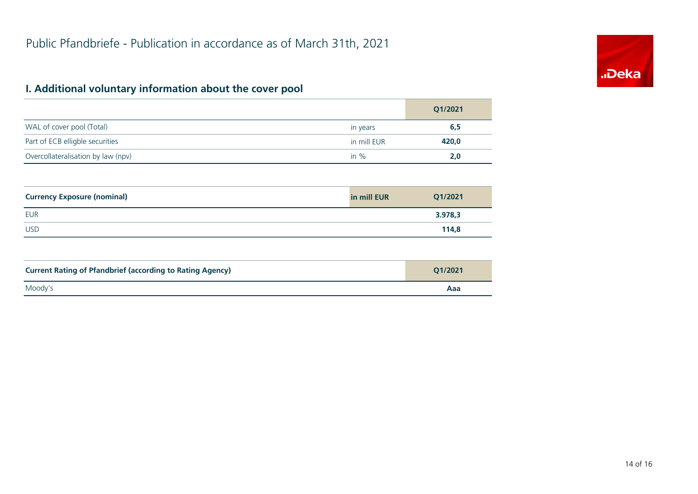# "Deka

# **I. Additional voluntary information about the cover pool**

|                                    |             | Q1/2021 |
|------------------------------------|-------------|---------|
| WAL of cover pool (Total)          | in years    | 6,5     |
| Part of ECB elligble securities    | in mill EUR | 420,0   |
| Overcollateralisation by law (npv) | in $%$      | 2,0     |

| <b>Currency Exposure (nominal)</b> | in mill EUR | Q1/2021 |
|------------------------------------|-------------|---------|
| <b>EUR</b>                         |             | 3.978,3 |
| <b>USD</b>                         |             | 114,8   |

| <b>Current Rating of Pfandbrief (according to Rating Agency)</b> | O1/2021 |
|------------------------------------------------------------------|---------|
| Moody's                                                          | Aaa     |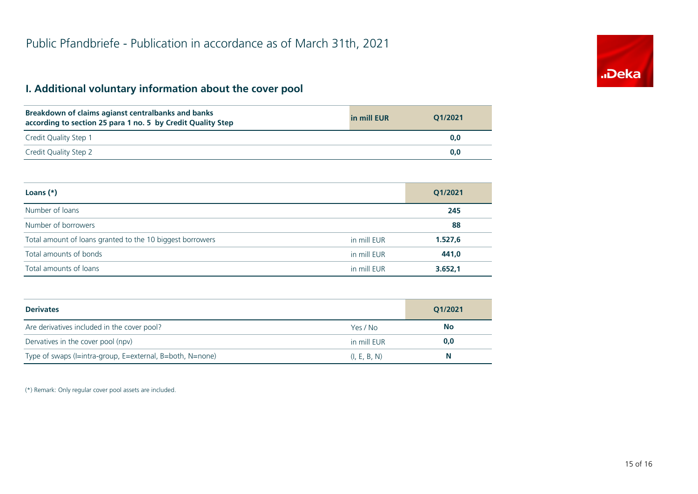# **I. Additional voluntary information about the cover pool**

| Breakdown of claims agianst centralbanks and banks<br>according to section 25 para 1 no. 5 by Credit Quality Step | in mill EUR | 01/2021 |
|-------------------------------------------------------------------------------------------------------------------|-------------|---------|
| Credit Quality Step 1                                                                                             |             | 0.0     |
| Credit Quality Step 2                                                                                             |             | 0.0     |

| Loans $(*)$                                               |             | Q1/2021 |
|-----------------------------------------------------------|-------------|---------|
| Number of loans                                           |             | 245     |
| Number of borrowers                                       |             | 88      |
| Total amount of loans granted to the 10 biggest borrowers | in mill EUR | 1.527,6 |
| Total amounts of bonds                                    | in mill EUR | 441,0   |
| Total amounts of loans                                    | in mill EUR | 3.652,1 |

| <b>Derivates</b>                                          |              | O1/2021   |  |
|-----------------------------------------------------------|--------------|-----------|--|
| Are derivatives included in the cover pool?               | Yes / No     | <b>No</b> |  |
| Dervatives in the cover pool (npv)                        | in mill EUR  | 0,0       |  |
| Type of swaps (I=intra-group, E=external, B=both, N=none) | (I, E, B, N) | N         |  |

(\*) Remark: Only regular cover pool assets are included.